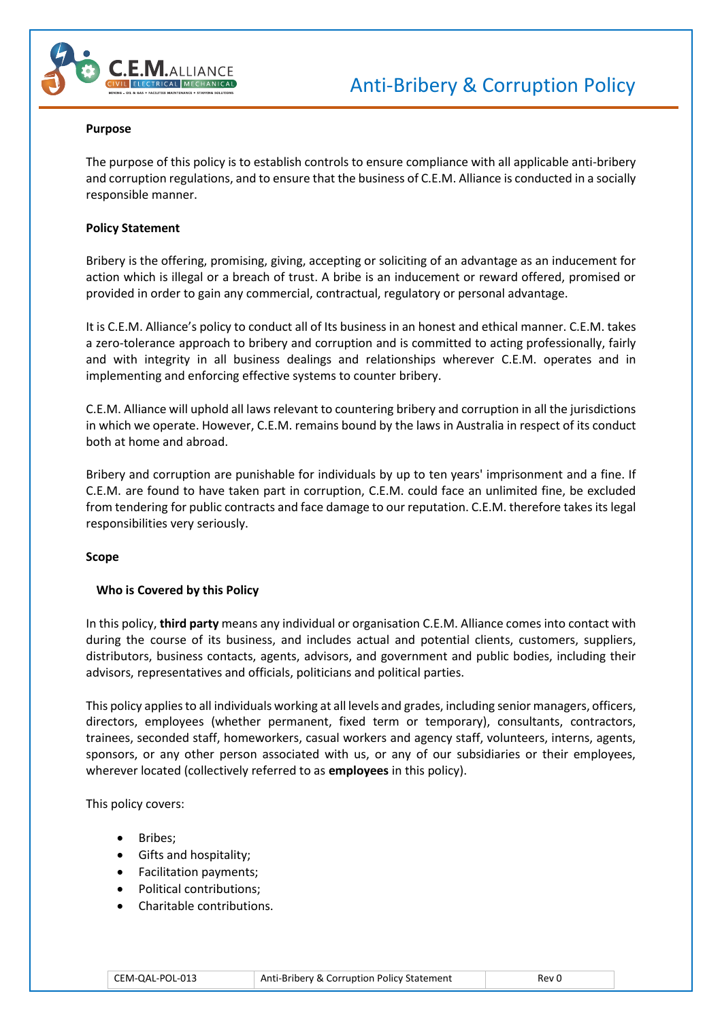

#### **Purpose**

The purpose of this policy is to establish controls to ensure compliance with all applicable anti-bribery and corruption regulations, and to ensure that the business of C.E.M. Alliance is conducted in a socially responsible manner.

### **Policy Statement**

Bribery is the offering, promising, giving, accepting or soliciting of an advantage as an inducement for action which is illegal or a breach of trust. A bribe is an inducement or reward offered, promised or provided in order to gain any commercial, contractual, regulatory or personal advantage.

It is C.E.M. Alliance's policy to conduct all of Its business in an honest and ethical manner. C.E.M. takes a zero-tolerance approach to bribery and corruption and is committed to acting professionally, fairly and with integrity in all business dealings and relationships wherever C.E.M. operates and in implementing and enforcing effective systems to counter bribery.

C.E.M. Alliance will uphold all laws relevant to countering bribery and corruption in all the jurisdictions in which we operate. However, C.E.M. remains bound by the laws in Australia in respect of its conduct both at home and abroad.

Bribery and corruption are punishable for individuals by up to ten years' imprisonment and a fine. If C.E.M. are found to have taken part in corruption, C.E.M. could face an unlimited fine, be excluded from tendering for public contracts and face damage to our reputation. C.E.M. therefore takes its legal responsibilities very seriously.

#### **Scope**

## **Who is Covered by this Policy**

In this policy, **third party** means any individual or organisation C.E.M. Alliance comes into contact with during the course of its business, and includes actual and potential clients, customers, suppliers, distributors, business contacts, agents, advisors, and government and public bodies, including their advisors, representatives and officials, politicians and political parties.

This policy applies to all individuals working at all levels and grades, including senior managers, officers, directors, employees (whether permanent, fixed term or temporary), consultants, contractors, trainees, seconded staff, homeworkers, casual workers and agency staff, volunteers, interns, agents, sponsors, or any other person associated with us, or any of our subsidiaries or their employees, wherever located (collectively referred to as **employees** in this policy).

This policy covers:

- Bribes;
- Gifts and hospitality;
- Facilitation payments;
- Political contributions;
- Charitable contributions.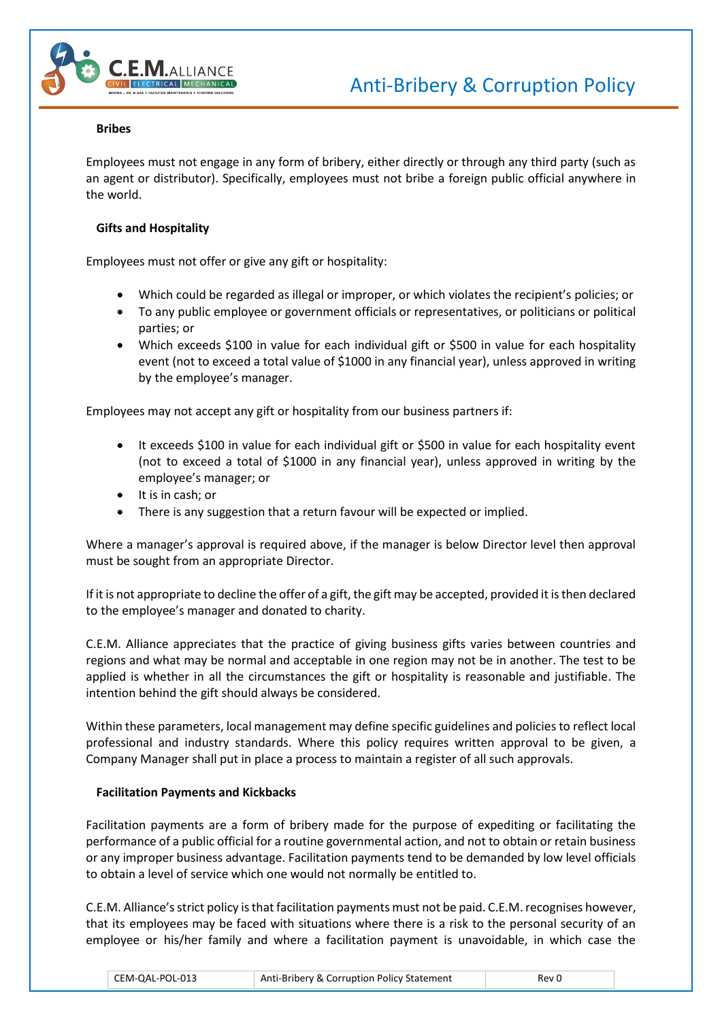

# **Bribes**

Employees must not engage in any form of bribery, either directly or through any third party (such as an agent or distributor). Specifically, employees must not bribe a foreign public official anywhere in the world.

# **Gifts and Hospitality**

Employees must not offer or give any gift or hospitality:

- Which could be regarded as illegal or improper, or which violates the recipient's policies; or
- To any public employee or government officials or representatives, or politicians or political parties; or
- Which exceeds \$100 in value for each individual gift or \$500 in value for each hospitality event (not to exceed a total value of \$1000 in any financial year), unless approved in writing by the employee's manager.

Employees may not accept any gift or hospitality from our business partners if:

- It exceeds \$100 in value for each individual gift or \$500 in value for each hospitality event (not to exceed a total of \$1000 in any financial year), unless approved in writing by the employee's manager; or
- It is in cash; or
- There is any suggestion that a return favour will be expected or implied.

Where a manager's approval is required above, if the manager is below Director level then approval must be sought from an appropriate Director.

If it is not appropriate to decline the offer of a gift, the gift may be accepted, provided it is then declared to the employee's manager and donated to charity.

C.E.M. Alliance appreciates that the practice of giving business gifts varies between countries and regions and what may be normal and acceptable in one region may not be in another. The test to be applied is whether in all the circumstances the gift or hospitality is reasonable and justifiable. The intention behind the gift should always be considered.

Within these parameters, local management may define specific guidelines and policies to reflect local professional and industry standards. Where this policy requires written approval to be given, a Company Manager shall put in place a process to maintain a register of all such approvals.

## **Facilitation Payments and Kickbacks**

Facilitation payments are a form of bribery made for the purpose of expediting or facilitating the performance of a public official for a routine governmental action, and not to obtain or retain business or any improper business advantage. Facilitation payments tend to be demanded by low level officials to obtain a level of service which one would not normally be entitled to.

C.E.M. Alliance's strict policy is that facilitation payments must not be paid. C.E.M. recognises however, that its employees may be faced with situations where there is a risk to the personal security of an employee or his/her family and where a facilitation payment is unavoidable, in which case the

| CEM-QAL-POL-013 | Anti-Bribery & Corruption Policy Statement | Rev 0 |
|-----------------|--------------------------------------------|-------|
|-----------------|--------------------------------------------|-------|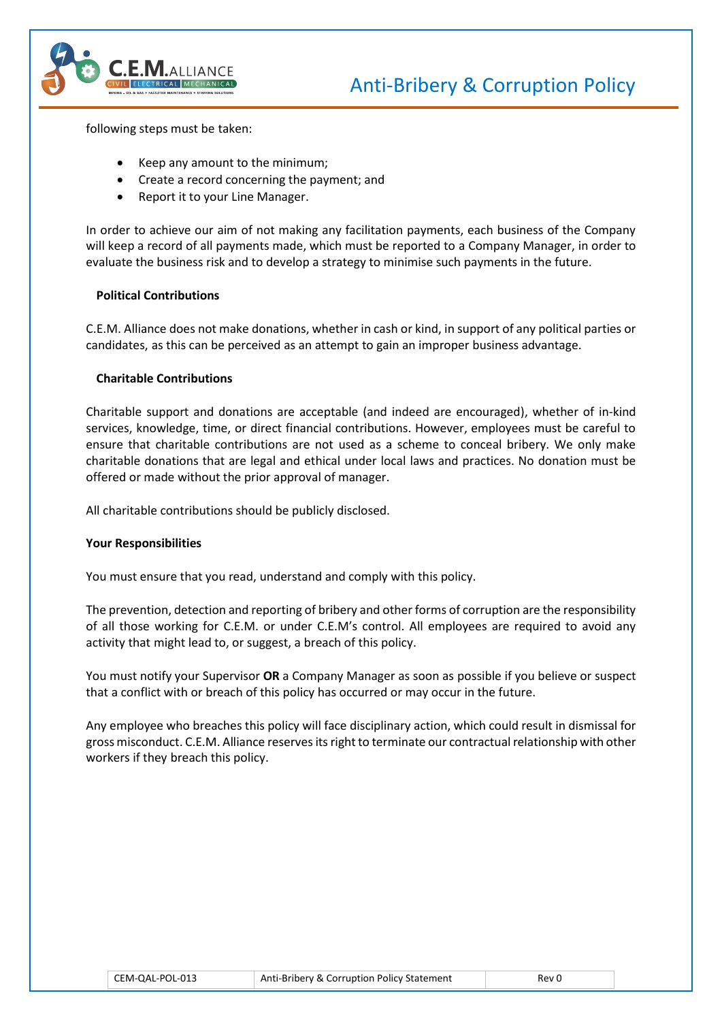



following steps must be taken:

- Keep any amount to the minimum;
- Create a record concerning the payment; and
- Report it to your Line Manager.

In order to achieve our aim of not making any facilitation payments, each business of the Company will keep a record of all payments made, which must be reported to a Company Manager, in order to evaluate the business risk and to develop a strategy to minimise such payments in the future.

## **Political Contributions**

C.E.M. Alliance does not make donations, whether in cash or kind, in support of any political parties or candidates, as this can be perceived as an attempt to gain an improper business advantage.

## **Charitable Contributions**

Charitable support and donations are acceptable (and indeed are encouraged), whether of in-kind services, knowledge, time, or direct financial contributions. However, employees must be careful to ensure that charitable contributions are not used as a scheme to conceal bribery. We only make charitable donations that are legal and ethical under local laws and practices. No donation must be offered or made without the prior approval of manager.

All charitable contributions should be publicly disclosed.

## **Your Responsibilities**

You must ensure that you read, understand and comply with this policy.

The prevention, detection and reporting of bribery and other forms of corruption are the responsibility of all those working for C.E.M. or under C.E.M's control. All employees are required to avoid any activity that might lead to, or suggest, a breach of this policy.

You must notify your Supervisor **OR** a Company Manager as soon as possible if you believe or suspect that a conflict with or breach of this policy has occurred or may occur in the future.

Any employee who breaches this policy will face disciplinary action, which could result in dismissal for gross misconduct. C.E.M. Alliance reserves its right to terminate our contractual relationship with other workers if they breach this policy.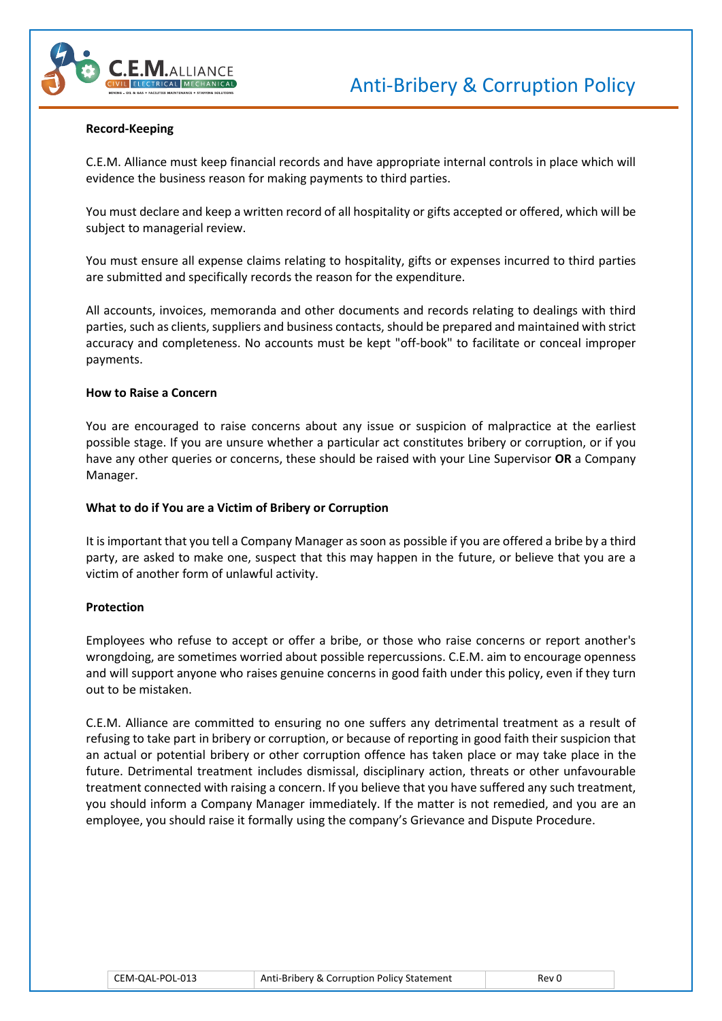

#### **Record-Keeping**

C.E.M. Alliance must keep financial records and have appropriate internal controls in place which will evidence the business reason for making payments to third parties.

You must declare and keep a written record of all hospitality or gifts accepted or offered, which will be subject to managerial review.

You must ensure all expense claims relating to hospitality, gifts or expenses incurred to third parties are submitted and specifically records the reason for the expenditure.

All accounts, invoices, memoranda and other documents and records relating to dealings with third parties, such as clients, suppliers and business contacts, should be prepared and maintained with strict accuracy and completeness. No accounts must be kept "off-book" to facilitate or conceal improper payments.

#### **How to Raise a Concern**

You are encouraged to raise concerns about any issue or suspicion of malpractice at the earliest possible stage. If you are unsure whether a particular act constitutes bribery or corruption, or if you have any other queries or concerns, these should be raised with your Line Supervisor **OR** a Company Manager.

#### **What to do if You are a Victim of Bribery or Corruption**

It is important that you tell a Company Manager as soon as possible if you are offered a bribe by a third party, are asked to make one, suspect that this may happen in the future, or believe that you are a victim of another form of unlawful activity.

#### **Protection**

Employees who refuse to accept or offer a bribe, or those who raise concerns or report another's wrongdoing, are sometimes worried about possible repercussions. C.E.M. aim to encourage openness and will support anyone who raises genuine concerns in good faith under this policy, even if they turn out to be mistaken.

C.E.M. Alliance are committed to ensuring no one suffers any detrimental treatment as a result of refusing to take part in bribery or corruption, or because of reporting in good faith their suspicion that an actual or potential bribery or other corruption offence has taken place or may take place in the future. Detrimental treatment includes dismissal, disciplinary action, threats or other unfavourable treatment connected with raising a concern. If you believe that you have suffered any such treatment, you should inform a Company Manager immediately. If the matter is not remedied, and you are an employee, you should raise it formally using the company's Grievance and Dispute Procedure.